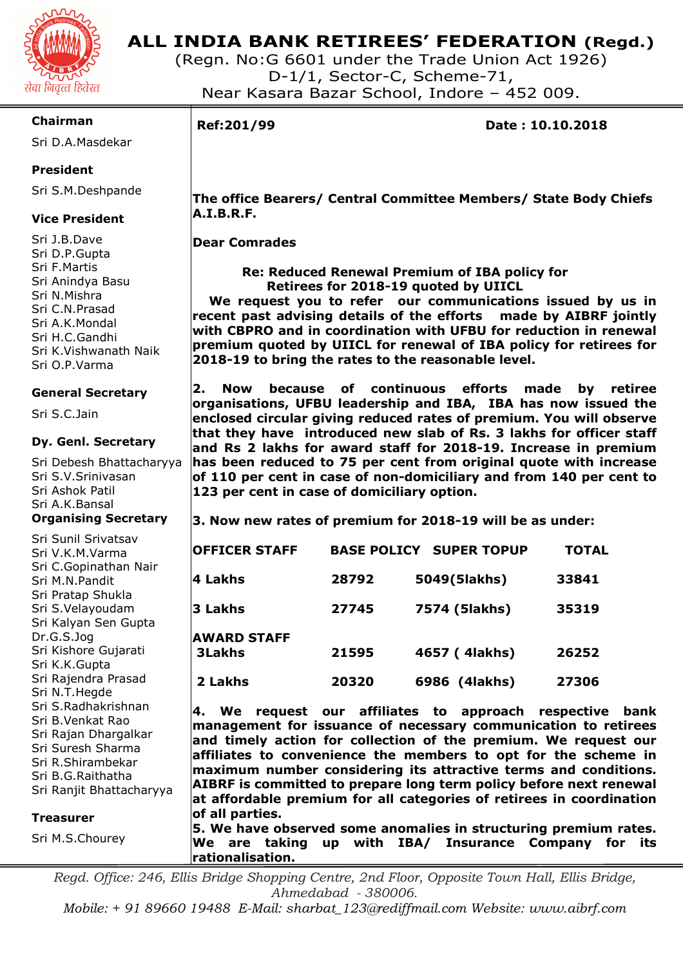

## **ALL INDIA BANK RETIREES' FEDERATION (Regd.)**

(Regn. No:G 6601 under the Trade Union Act 1926) D-1/1, Sector-C, Scheme-71, Near Kasara Bazar School, Indore – 452 009.

### **Chairman**

Sri D.A.Masdekar

### **President**

Sri S.M.Deshpande

### **Vice President**

Sri J.B.Dave Sri D.P.Gupta Sri F.Martis Sri Anindya Basu Sri N.Mishra Sri C.N.Prasad Sri A.K.Mondal Sri H.C.Gandhi Sri K.Vishwanath Naik Sri O.P.Varma

### **General Secretary**

Sri S.C.Jain

### **Dy. Genl. Secretary**

Sri Debesh Bhattacharyya Sri S.V.Srinivasan Sri Ashok Patil Sri A.K.Bansal **Organising Secretary** 

Sri Sunil Srivatsav Sri V.K.M.Varma Sri C.Gopinathan Nair Sri M.N.Pandit Sri Pratap Shukla Sri S.Velayoudam Sri Kalyan Sen Gupta Dr.G.S.Jog Sri Kishore Gujarati Sri K.K.Gupta Sri Rajendra Prasad Sri N.T.Hegde Sri S.Radhakrishnan Sri B.Venkat Rao Sri Rajan Dhargalkar Sri Suresh Sharma Sri R.Shirambekar Sri B.G.Raithatha Sri Ranjit Bhattacharyya

#### **Treasurer**

Sri M.S.Chourey

I

**Ref:201/99 Date : 10.10.2018** 

 **The office Bearers/ Central Committee Members/ State Body Chiefs A.I.B.R.F.** 

 **Dear Comrades** 

 **Re: Reduced Renewal Premium of IBA policy for Retirees for 2018-19 quoted by UIICL** 

 **We request you to refer our communications issued by us in recent past advising details of the efforts made by AIBRF jointly with CBPRO and in coordination with UFBU for reduction in renewal premium quoted by UIICL for renewal of IBA policy for retirees for 2018-19 to bring the rates to the reasonable level.**

**2. Now because of continuous efforts made by retiree organisations, UFBU leadership and IBA, IBA has now issued the enclosed circular giving reduced rates of premium. You will observe that they have introduced new slab of Rs. 3 lakhs for officer staff and Rs 2 lakhs for award staff for 2018-19. Increase in premium has been reduced to 75 per cent from original quote with increase of 110 per cent in case of non-domiciliary and from 140 per cent to 123 per cent in case of domiciliary option.** 

**3. Now new rates of premium for 2018-19 will be as under:** 

| <b>OFFICER STAFF</b>                | <b>BASE POLICY</b> | <b>SUPER TOPUP</b> | <b>TOTAL</b> |
|-------------------------------------|--------------------|--------------------|--------------|
| 4 Lakhs                             | 28792              | 5049(5lakhs)       | 33841        |
| 3 Lakhs                             | 27745              | 7574 (5lakhs)      | 35319        |
| <b>AWARD STAFF</b><br><b>3Lakhs</b> | 21595              | 4657 (4lakhs)      | 26252        |
| 2 Lakhs                             | 20320              | 6986 (4lakhs)      | 27306        |

**4. We request our affiliates to approach respective bank management for issuance of necessary communication to retirees and timely action for collection of the premium. We request our affiliates to convenience the members to opt for the scheme in maximum number considering its attractive terms and conditions. AIBRF is committed to prepare long term policy before next renewal at affordable premium for all categories of retirees in coordination of all parties.** 

**5. We have observed some anomalies in structuring premium rates. We are taking up with IBA/ Insurance Company for its rationalisation.** 

*Regd. Office: 246, Ellis Bridge Shopping Centre, 2nd Floor, Opposite Town Hall, Ellis Bridge, Ahmedabad - 380006.* 

*Mobile: + 91 89660 19488 E-Mail: sharbat\_123@rediffmail.com Website: www.aibrf.com*